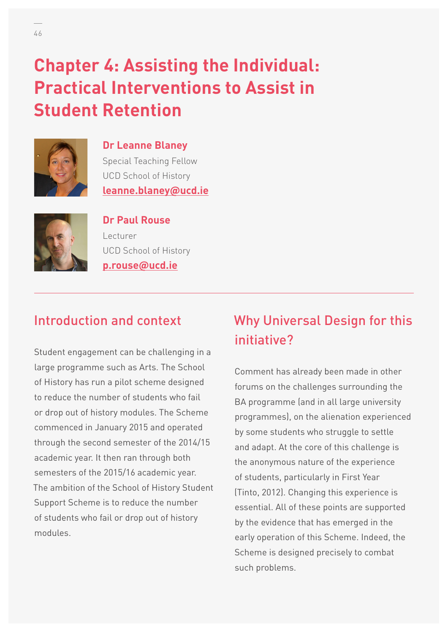# **Chapter 4: Assisting the Individual: Practical Interventions to Assist in Student Retention**



**Dr Leanne Blaney**  Special Teaching Fellow UCD School of History **[leanne.blaney@ucd.ie](mailto:leanne.blaney@ucd.ie)**



#### **Dr Paul Rouse**

Lecturer UCD School of History **[p.rouse@ucd.ie](mailto:p.rouse@ucd.ie)**

## Introduction and context

Student engagement can be challenging in a large programme such as Arts. The School of History has run a pilot scheme designed to reduce the number of students who fail or drop out of history modules. The Scheme commenced in January 2015 and operated through the second semester of the 2014/15 academic year. It then ran through both semesters of the 2015/16 academic year. The ambition of the School of History Student Support Scheme is to reduce the number of students who fail or drop out of history modules.

## Why Universal Design for this initiative?

Comment has already been made in other forums on the challenges surrounding the BA programme (and in all large university programmes), on the alienation experienced by some students who struggle to settle and adapt. At the core of this challenge is the anonymous nature of the experience of students, particularly in First Year (Tinto, 2012). Changing this experience is essential. All of these points are supported by the evidence that has emerged in the early operation of this Scheme. Indeed, the Scheme is designed precisely to combat such problems.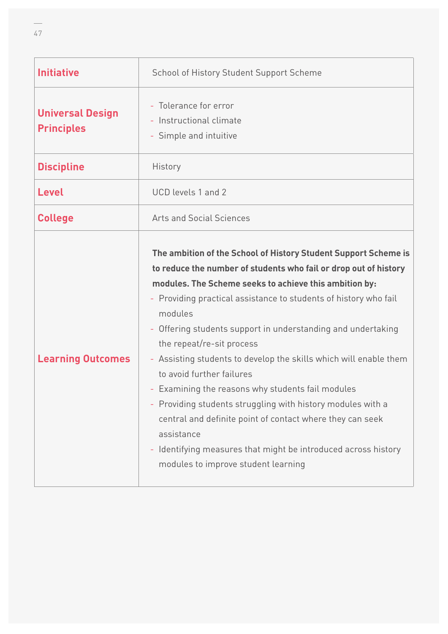| <b>Initiative</b>                            | School of History Student Support Scheme                                                                                                                                                                                                                                                                                                                                                                                                                                                                                                                                                                                                                                                                                                                                            |
|----------------------------------------------|-------------------------------------------------------------------------------------------------------------------------------------------------------------------------------------------------------------------------------------------------------------------------------------------------------------------------------------------------------------------------------------------------------------------------------------------------------------------------------------------------------------------------------------------------------------------------------------------------------------------------------------------------------------------------------------------------------------------------------------------------------------------------------------|
| <b>Universal Design</b><br><b>Principles</b> | - Tolerance for error<br>- Instructional climate<br>- Simple and intuitive                                                                                                                                                                                                                                                                                                                                                                                                                                                                                                                                                                                                                                                                                                          |
| <b>Discipline</b>                            | History                                                                                                                                                                                                                                                                                                                                                                                                                                                                                                                                                                                                                                                                                                                                                                             |
| <b>Level</b>                                 | UCD levels 1 and 2                                                                                                                                                                                                                                                                                                                                                                                                                                                                                                                                                                                                                                                                                                                                                                  |
| <b>College</b>                               | <b>Arts and Social Sciences</b>                                                                                                                                                                                                                                                                                                                                                                                                                                                                                                                                                                                                                                                                                                                                                     |
| <b>Learning Outcomes</b>                     | The ambition of the School of History Student Support Scheme is<br>to reduce the number of students who fail or drop out of history<br>modules. The Scheme seeks to achieve this ambition by:<br>- Providing practical assistance to students of history who fail<br>modules<br>- Offering students support in understanding and undertaking<br>the repeat/re-sit process<br>- Assisting students to develop the skills which will enable them<br>to avoid further failures<br>- Examining the reasons why students fail modules<br>- Providing students struggling with history modules with a<br>central and definite point of contact where they can seek<br>assistance<br>- Identifying measures that might be introduced across history<br>modules to improve student learning |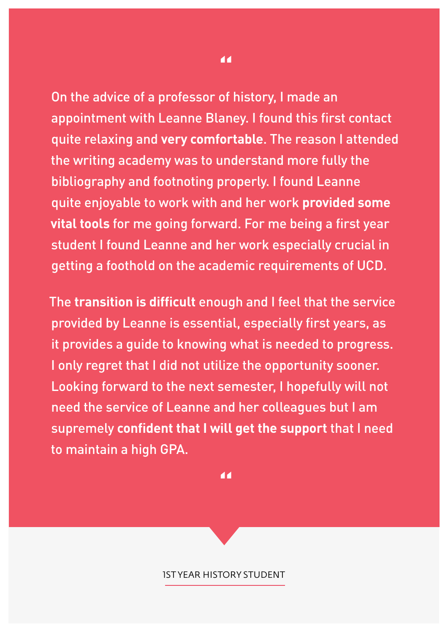On the advice of a professor of history, I made an appointment with Leanne Blaney. I found this first contact quite relaxing and **very comfortable**. The reason I attended the writing academy was to understand more fully the bibliography and footnoting properly. I found Leanne quite enjoyable to work with and her work **provided some vital tools** for me going forward. For me being a first year student I found Leanne and her work especially crucial in getting a foothold on the academic requirements of UCD.

The **transition is difficult** enough and I feel that the service provided by Leanne is essential, especially first years, as it provides a guide to knowing what is needed to progress. I only regret that I did not utilize the opportunity sooner. Looking forward to the next semester, I hopefully will not need the service of Leanne and her colleagues but I am supremely **confident that I will get the support** that I need to maintain a high GPA.

**"**

1ST YEAR HISTORY STUDENT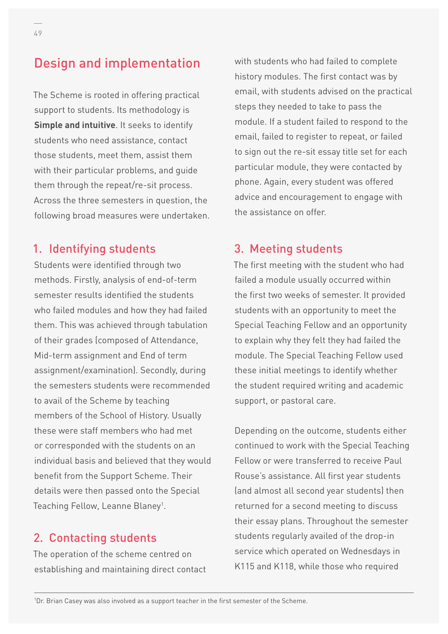## Design and implementation

The Scheme is rooted in offering practical support to students. Its methodology is **Simple and intuitive**. It seeks to identify students who need assistance, contact those students, meet them, assist them with their particular problems, and guide them through the repeat/re-sit process. Across the three semesters in question, the following broad measures were undertaken.

#### 1. Identifying students

Students were identified through two methods. Firstly, analysis of end-of-term semester results identified the students who failed modules and how they had failed them. This was achieved through tabulation of their grades (composed of Attendance, Mid-term assignment and End of term assignment/examination). Secondly, during the semesters students were recommended to avail of the Scheme by teaching members of the School of History. Usually these were staff members who had met or corresponded with the students on an individual basis and believed that they would benefit from the Support Scheme. Their details were then passed onto the Special Teaching Fellow, Leanne Blaney<sup>1</sup>.

#### 2. Contacting students

The operation of the scheme centred on establishing and maintaining direct contact with students who had failed to complete history modules. The first contact was by email, with students advised on the practical steps they needed to take to pass the module. If a student failed to respond to the email, failed to register to repeat, or failed to sign out the re-sit essay title set for each particular module, they were contacted by phone. Again, every student was offered advice and encouragement to engage with the assistance on offer.

#### 3. Meeting students

The first meeting with the student who had failed a module usually occurred within the first two weeks of semester. It provided students with an opportunity to meet the Special Teaching Fellow and an opportunity to explain why they felt they had failed the module. The Special Teaching Fellow used these initial meetings to identify whether the student required writing and academic support, or pastoral care.

Depending on the outcome, students either continued to work with the Special Teaching Fellow or were transferred to receive Paul Rouse's assistance. All first year students (and almost all second year students) then returned for a second meeting to discuss their essay plans. Throughout the semester students regularly availed of the drop-in service which operated on Wednesdays in K115 and K118, while those who required

1 Dr. Brian Casey was also involved as a support teacher in the first semester of the Scheme.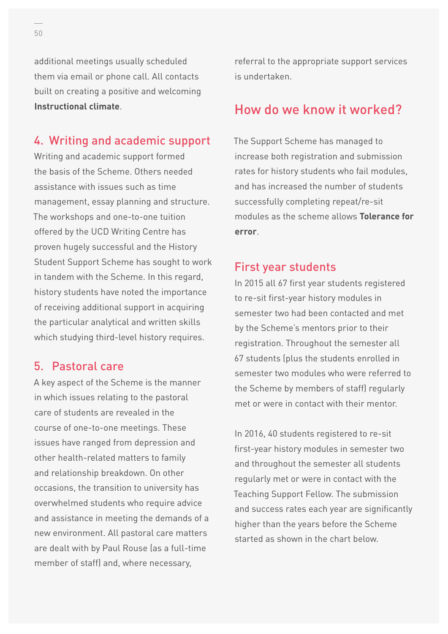additional meetings usually scheduled them via email or phone call. All contacts built on creating a positive and welcoming **Instructional climate**.

### 4. Writing and academic support

Writing and academic support formed the basis of the Scheme. Others needed assistance with issues such as time management, essay planning and structure. The workshops and one-to-one tuition offered by the UCD Writing Centre has proven hugely successful and the History Student Support Scheme has sought to work in tandem with the Scheme. In this regard, history students have noted the importance of receiving additional support in acquiring the particular analytical and written skills which studying third-level history requires.

#### 5. Pastoral care

A key aspect of the Scheme is the manner in which issues relating to the pastoral care of students are revealed in the course of one-to-one meetings. These issues have ranged from depression and other health-related matters to family and relationship breakdown. On other occasions, the transition to university has overwhelmed students who require advice and assistance in meeting the demands of a new environment. All pastoral care matters are dealt with by Paul Rouse (as a full-time member of staff) and, where necessary,

referral to the appropriate support services is undertaken.

### How do we know it worked?

The Support Scheme has managed to increase both registration and submission rates for history students who fail modules, and has increased the number of students successfully completing repeat/re-sit modules as the scheme allows **Tolerance for error**.

#### First year students

In 2015 all 67 first year students registered to re-sit first-year history modules in semester two had been contacted and met by the Scheme's mentors prior to their registration. Throughout the semester all 67 students (plus the students enrolled in semester two modules who were referred to the Scheme by members of staff) regularly met or were in contact with their mentor.

In 2016, 40 students registered to re-sit first-year history modules in semester two and throughout the semester all students regularly met or were in contact with the Teaching Support Fellow. The submission and success rates each year are significantly higher than the years before the Scheme started as shown in the chart below.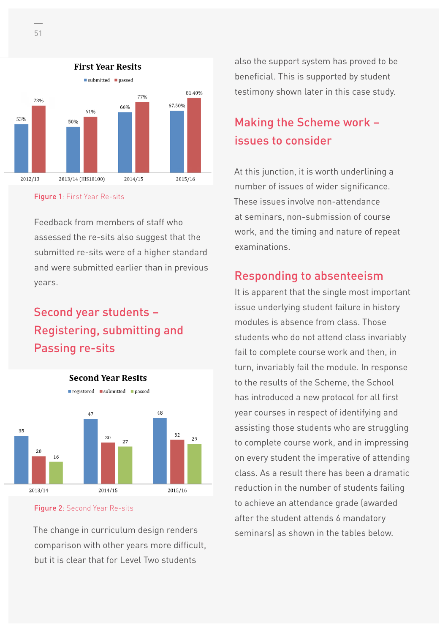



Feedback from members of staff who assessed the re-sits also suggest that the submitted re-sits were of a higher standard and were submitted earlier than in previous years.

## Second year students – Registering, submitting and Passing re-sits

**Second Year Resits** 





The change in curriculum design renders comparison with other years more difficult, but it is clear that for Level Two students

also the support system has proved to be beneficial. This is supported by student testimony shown later in this case study.

## Making the Scheme work – issues to consider

At this junction, it is worth underlining a number of issues of wider significance. These issues involve non-attendance at seminars, non-submission of course work, and the timing and nature of repeat examinations.

### Responding to absenteeism

It is apparent that the single most important issue underlying student failure in history modules is absence from class. Those students who do not attend class invariably fail to complete course work and then, in turn, invariably fail the module. In response to the results of the Scheme, the School has introduced a new protocol for all first year courses in respect of identifying and assisting those students who are struggling to complete course work, and in impressing on every student the imperative of attending class. As a result there has been a dramatic reduction in the number of students failing to achieve an attendance grade (awarded after the student attends 6 mandatory seminars) as shown in the tables below.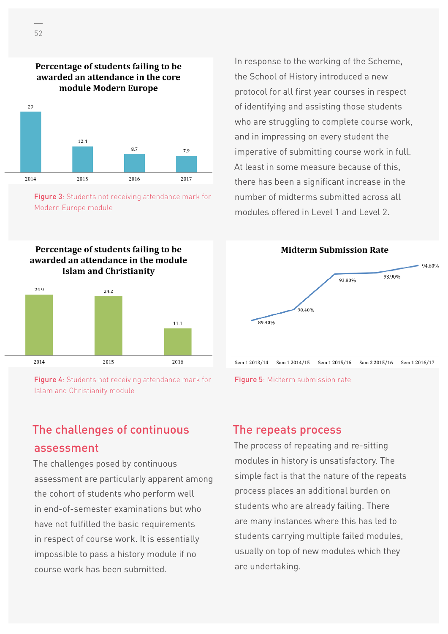

Percentage of students failing to be awarded an attendance in the core

Figure 3: Students not receiving attendance mark for Modern Europe module

Percentage of students failing to be awarded an attendance in the module **Islam and Christianity** 



Figure 4: Students not receiving attendance mark for Islam and Christianity module

### The challenges of continuous assessment

The challenges posed by continuous assessment are particularly apparent among the cohort of students who perform well in end-of-semester examinations but who have not fulfilled the basic requirements in respect of course work. It is essentially impossible to pass a history module if no course work has been submitted.

In response to the working of the Scheme, the School of History introduced a new protocol for all first year courses in respect of identifying and assisting those students who are struggling to complete course work, and in impressing on every student the imperative of submitting course work in full. At least in some measure because of this, there has been a significant increase in the number of midterms submitted across all modules offered in Level 1 and Level 2.



#### The repeats process

The process of repeating and re-sitting modules in history is unsatisfactory. The simple fact is that the nature of the repeats process places an additional burden on students who are already failing. There are many instances where this has led to students carrying multiple failed modules, usually on top of new modules which they are undertaking.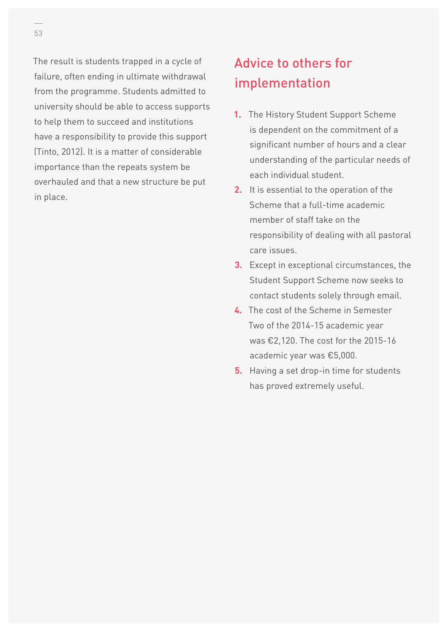The result is students trapped in a cycle of failure, often ending in ultimate withdrawal from the programme. Students admitted to university should be able to access supports to help them to succeed and institutions have a responsibility to provide this support (Tinto, 2012). It is a matter of considerable importance than the repeats system be overhauled and that a new structure be put in place.

## Advice to others for implementation

- **1.** The History Student Support Scheme is dependent on the commitment of a significant number of hours and a clear understanding of the particular needs of each individual student.
- **2.** It is essential to the operation of the Scheme that a full-time academic member of staff take on the responsibility of dealing with all pastoral care issues.
- **3.** Except in exceptional circumstances, the Student Support Scheme now seeks to contact students solely through email.
- **4.** The cost of the Scheme in Semester Two of the 2014-15 academic year was €2,120. The cost for the 2015-16 academic year was €5,000.
- **5.** Having a set drop-in time for students has proved extremely useful.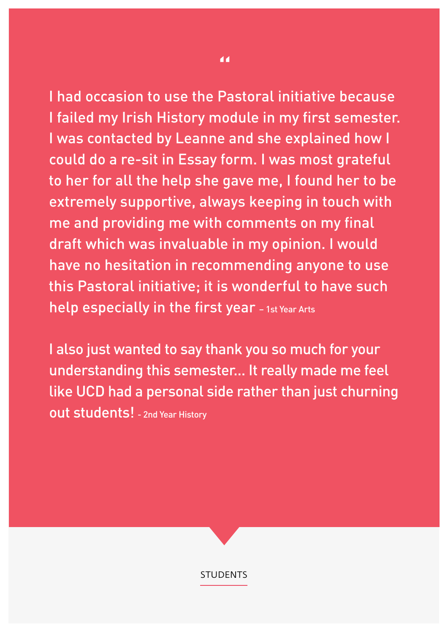I had occasion to use the Pastoral initiative because I failed my Irish History module in my first semester. I was contacted by Leanne and she explained how I could do a re-sit in Essay form. I was most grateful to her for all the help she gave me, I found her to be extremely supportive, always keeping in touch with me and providing me with comments on my final draft which was invaluable in my opinion. I would have no hesitation in recommending anyone to use this Pastoral initiative; it is wonderful to have such help especially in the first year - 1st Year Arts

I also just wanted to say thank you so much for your understanding this semester... It really made me feel like UCD had a personal side rather than just churning out students! - 2nd Year History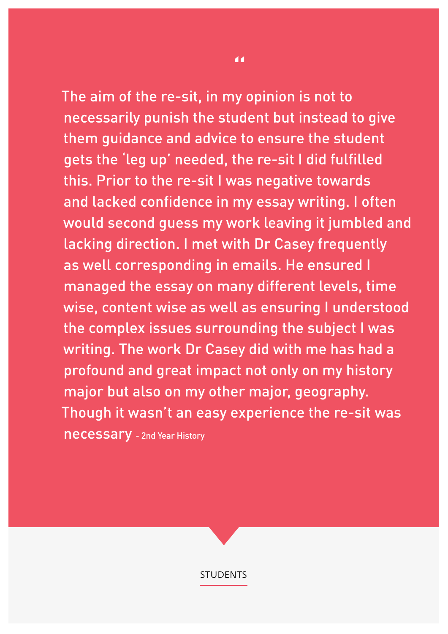The aim of the re-sit, in my opinion is not to necessarily punish the student but instead to give them guidance and advice to ensure the student gets the 'leg up' needed, the re-sit I did fulfilled this. Prior to the re-sit I was negative towards and lacked confidence in my essay writing. I often would second guess my work leaving it jumbled and lacking direction. I met with Dr Casey frequently as well corresponding in emails. He ensured I managed the essay on many different levels, time wise, content wise as well as ensuring I understood the complex issues surrounding the subject I was writing. The work Dr Casey did with me has had a profound and great impact not only on my history major but also on my other major, geography. Though it wasn't an easy experience the re-sit was necessary - 2nd Year History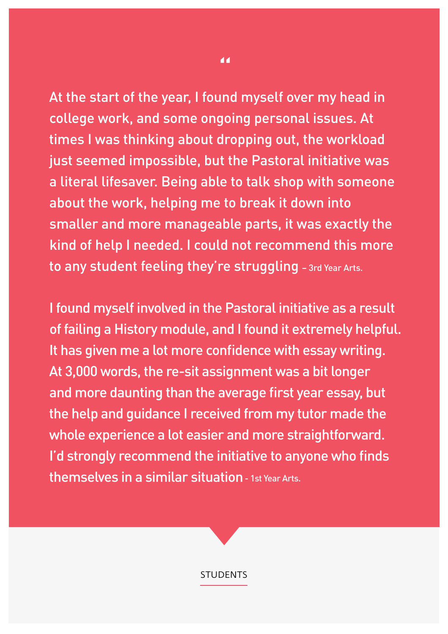At the start of the year, I found myself over my head in college work, and some ongoing personal issues. At times I was thinking about dropping out, the workload just seemed impossible, but the Pastoral initiative was a literal lifesaver. Being able to talk shop with someone about the work, helping me to break it down into smaller and more manageable parts, it was exactly the kind of help I needed. I could not recommend this more to any student feeling they're struggling – 3rd Year Arts.

I found myself involved in the Pastoral initiative as a result of failing a History module, and I found it extremely helpful. It has given me a lot more confidence with essay writing. At 3,000 words, the re-sit assignment was a bit longer and more daunting than the average first year essay, but the help and guidance I received from my tutor made the whole experience a lot easier and more straightforward. I'd strongly recommend the initiative to anyone who finds themselves in a similar situation - 1st Year Arts.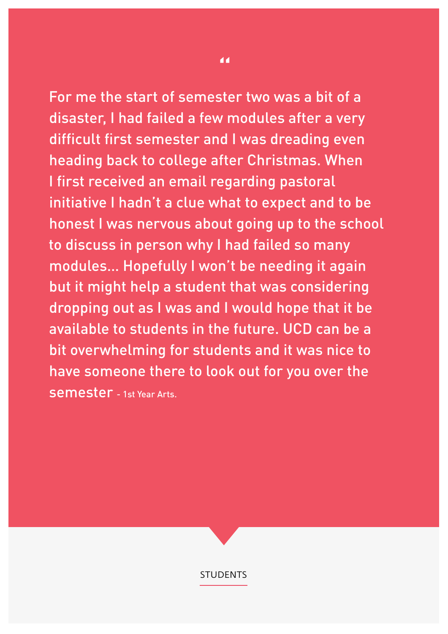For me the start of semester two was a bit of a disaster, I had failed a few modules after a very difficult first semester and I was dreading even heading back to college after Christmas. When I first received an email regarding pastoral initiative I hadn't a clue what to expect and to be honest I was nervous about going up to the school to discuss in person why I had failed so many modules… Hopefully I won't be needing it again but it might help a student that was considering dropping out as I was and I would hope that it be available to students in the future. UCD can be a bit overwhelming for students and it was nice to have someone there to look out for you over the semester - 1st Year Arts.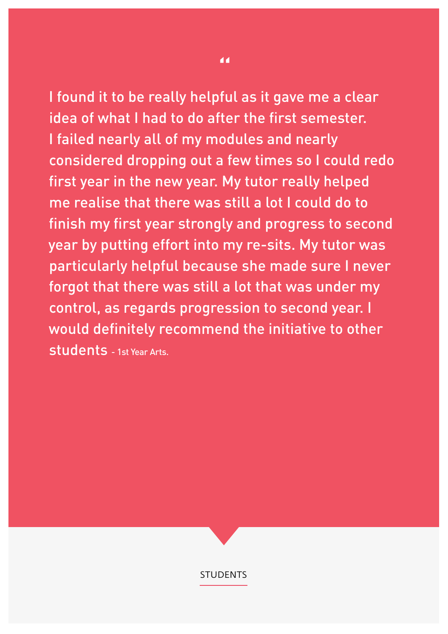I found it to be really helpful as it gave me a clear idea of what I had to do after the first semester. I failed nearly all of my modules and nearly considered dropping out a few times so I could redo first year in the new year. My tutor really helped me realise that there was still a lot I could do to finish my first year strongly and progress to second year by putting effort into my re-sits. My tutor was particularly helpful because she made sure I never forgot that there was still a lot that was under my control, as regards progression to second year. I would definitely recommend the initiative to other students - 1st Year Arts.

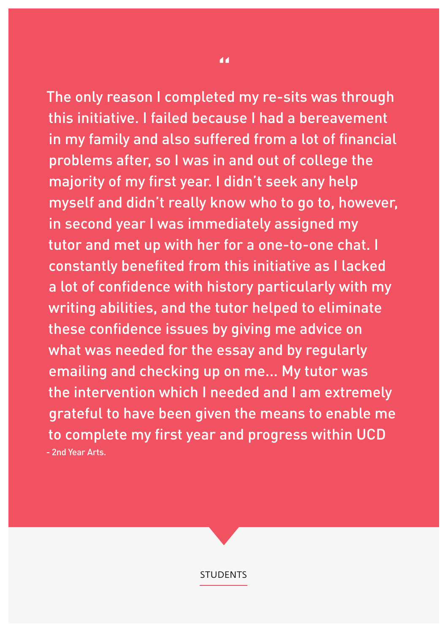The only reason I completed my re-sits was through this initiative. I failed because I had a bereavement in my family and also suffered from a lot of financial problems after, so I was in and out of college the majority of my first year. I didn't seek any help myself and didn't really know who to go to, however, in second year I was immediately assigned my tutor and met up with her for a one-to-one chat. I constantly benefited from this initiative as I lacked a lot of confidence with history particularly with my writing abilities, and the tutor helped to eliminate these confidence issues by giving me advice on what was needed for the essay and by regularly emailing and checking up on me... My tutor was the intervention which I needed and I am extremely grateful to have been given the means to enable me to complete my first year and progress within UCD - 2nd Year Arts.

"